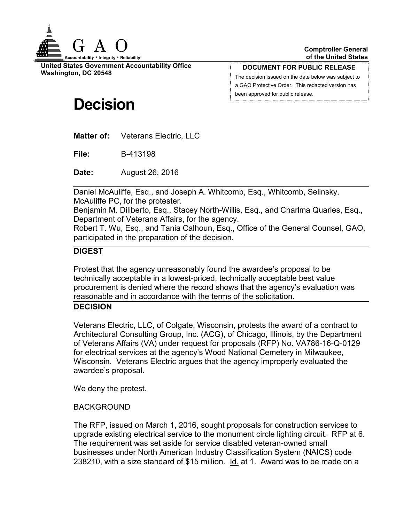

**United States Government Accountability Office Washington, DC 20548**

**DOCUMENT FOR PUBLIC RELEASE**

The decision issued on the date below was subject to a GAO Protective Order. This redacted version has been approved for public release.

# **Decision**

**Matter of:** Veterans Electric, LLC

**File:** B-413198

**Date:** August 26, 2016

Daniel McAuliffe, Esq., and Joseph A. Whitcomb, Esq., Whitcomb, Selinsky, McAuliffe PC, for the protester.

Benjamin M. Diliberto, Esq., Stacey North-Willis, Esq., and Charlma Quarles, Esq., Department of Veterans Affairs, for the agency.

Robert T. Wu, Esq., and Tania Calhoun, Esq., Office of the General Counsel, GAO, participated in the preparation of the decision.

## **DIGEST**

Protest that the agency unreasonably found the awardee's proposal to be technically acceptable in a lowest-priced, technically acceptable best value procurement is denied where the record shows that the agency's evaluation was reasonable and in accordance with the terms of the solicitation.

### **DECISION**

Veterans Electric, LLC, of Colgate, Wisconsin, protests the award of a contract to Architectural Consulting Group, Inc. (ACG), of Chicago, Illinois, by the Department of Veterans Affairs (VA) under request for proposals (RFP) No. VA786-16-Q-0129 for electrical services at the agency's Wood National Cemetery in Milwaukee, Wisconsin. Veterans Electric argues that the agency improperly evaluated the awardee's proposal.

We deny the protest.

## BACKGROUND

The RFP, issued on March 1, 2016, sought proposals for construction services to upgrade existing electrical service to the monument circle lighting circuit. RFP at 6. The requirement was set aside for service disabled veteran-owned small businesses under North American Industry Classification System (NAICS) code 238210, with a size standard of \$15 million. Id. at 1. Award was to be made on a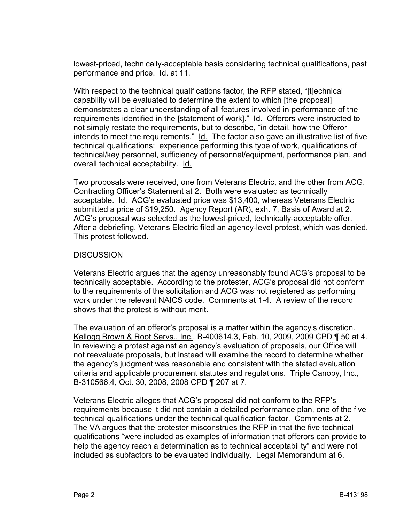lowest-priced, technically-acceptable basis considering technical qualifications, past performance and price. Id. at 11.

With respect to the technical qualifications factor, the RFP stated, "[t]echnical capability will be evaluated to determine the extent to which [the proposal] demonstrates a clear understanding of all features involved in performance of the requirements identified in the [statement of work]." Id. Offerors were instructed to not simply restate the requirements, but to describe, "in detail, how the Offeror intends to meet the requirements." Id. The factor also gave an illustrative list of five technical qualifications: experience performing this type of work, qualifications of technical/key personnel, sufficiency of personnel/equipment, performance plan, and overall technical acceptability. Id.

Two proposals were received, one from Veterans Electric, and the other from ACG. Contracting Officer's Statement at 2. Both were evaluated as technically acceptable. Id. ACG's evaluated price was \$13,400, whereas Veterans Electric submitted a price of \$19,250. Agency Report (AR), exh. 7, Basis of Award at 2. ACG's proposal was selected as the lowest-priced, technically-acceptable offer. After a debriefing, Veterans Electric filed an agency-level protest, which was denied. This protest followed.

### **DISCUSSION**

Veterans Electric argues that the agency unreasonably found ACG's proposal to be technically acceptable. According to the protester, ACG's proposal did not conform to the requirements of the solicitation and ACG was not registered as performing work under the relevant NAICS code. Comments at 1-4. A review of the record shows that the protest is without merit.

The evaluation of an offeror's proposal is a matter within the agency's discretion. Kellogg Brown & Root Servs., Inc., B-400614.3, Feb. 10, 2009, 2009 CPD ¶ 50 at 4. In reviewing a protest against an agency's evaluation of proposals, our Office will not reevaluate proposals, but instead will examine the record to determine whether the agency's judgment was reasonable and consistent with the stated evaluation criteria and applicable procurement statutes and regulations. Triple Canopy, Inc., B-310566.4, Oct. 30, 2008, 2008 CPD ¶ 207 at 7.

Veterans Electric alleges that ACG's proposal did not conform to the RFP's requirements because it did not contain a detailed performance plan, one of the five technical qualifications under the technical qualification factor. Comments at 2. The VA argues that the protester misconstrues the RFP in that the five technical qualifications "were included as examples of information that offerors can provide to help the agency reach a determination as to technical acceptability" and were not included as subfactors to be evaluated individually. Legal Memorandum at 6.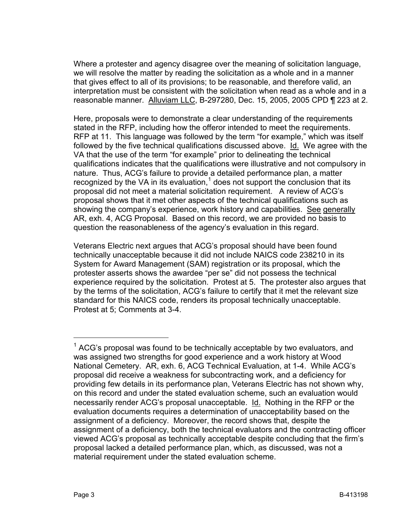Where a protester and agency disagree over the meaning of solicitation language, we will resolve the matter by reading the solicitation as a whole and in a manner that gives effect to all of its provisions; to be reasonable, and therefore valid, an interpretation must be consistent with the solicitation when read as a whole and in a reasonable manner. Alluviam LLC, B-297280, Dec. 15, 2005, 2005 CPD ¶ 223 at 2.

Here, proposals were to demonstrate a clear understanding of the requirements stated in the RFP, including how the offeror intended to meet the requirements. RFP at 11. This language was followed by the term "for example," which was itself followed by the five technical qualifications discussed above. Id. We agree with the VA that the use of the term "for example" prior to delineating the technical qualifications indicates that the qualifications were illustrative and not compulsory in nature. Thus, ACG's failure to provide a detailed performance plan, a matter recognized by the VA in its evaluation, $<sup>1</sup>$  $<sup>1</sup>$  $<sup>1</sup>$  does not support the conclusion that its</sup> proposal did not meet a material solicitation requirement. A review of ACG's proposal shows that it met other aspects of the technical qualifications such as showing the company's experience, work history and capabilities. See generally AR, exh. 4, ACG Proposal. Based on this record, we are provided no basis to question the reasonableness of the agency's evaluation in this regard.

Veterans Electric next argues that ACG's proposal should have been found technically unacceptable because it did not include NAICS code 238210 in its System for Award Management (SAM) registration or its proposal, which the protester asserts shows the awardee "per se" did not possess the technical experience required by the solicitation. Protest at 5. The protester also argues that by the terms of the solicitation, ACG's failure to certify that it met the relevant size standard for this NAICS code, renders its proposal technically unacceptable. Protest at 5; Comments at 3-4.

<span id="page-2-0"></span> $1$  ACG's proposal was found to be technically acceptable by two evaluators, and was assigned two strengths for good experience and a work history at Wood National Cemetery. AR, exh. 6, ACG Technical Evaluation, at 1-4. While ACG's proposal did receive a weakness for subcontracting work, and a deficiency for providing few details in its performance plan, Veterans Electric has not shown why, on this record and under the stated evaluation scheme, such an evaluation would necessarily render ACG's proposal unacceptable. Id. Nothing in the RFP or the evaluation documents requires a determination of unacceptability based on the assignment of a deficiency. Moreover, the record shows that, despite the assignment of a deficiency, both the technical evaluators and the contracting officer viewed ACG's proposal as technically acceptable despite concluding that the firm's proposal lacked a detailed performance plan, which, as discussed, was not a material requirement under the stated evaluation scheme.